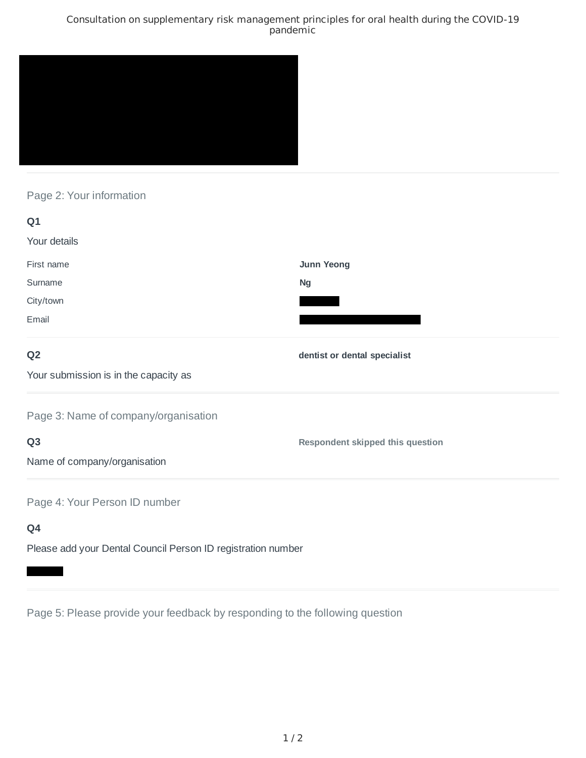### Consultation on supplementary risk management principles for oral health during the COVID-19 pandemic



## Page 2: Your information

| Q1                                    |                                         |
|---------------------------------------|-----------------------------------------|
| Your details                          |                                         |
| First name                            | Junn Yeong                              |
| Surname                               | <b>Ng</b>                               |
| City/town                             |                                         |
| Email                                 |                                         |
| Q <sub>2</sub>                        | dentist or dental specialist            |
| Your submission is in the capacity as |                                         |
| Page 3: Name of company/organisation  |                                         |
| Q <sub>3</sub>                        | <b>Respondent skipped this question</b> |
| Name of company/organisation          |                                         |
| Page 4: Your Person ID number         |                                         |
| Q4                                    |                                         |

Please add your Dental Council Person ID registration number

Page 5: Please provide your feedback by responding to the following question